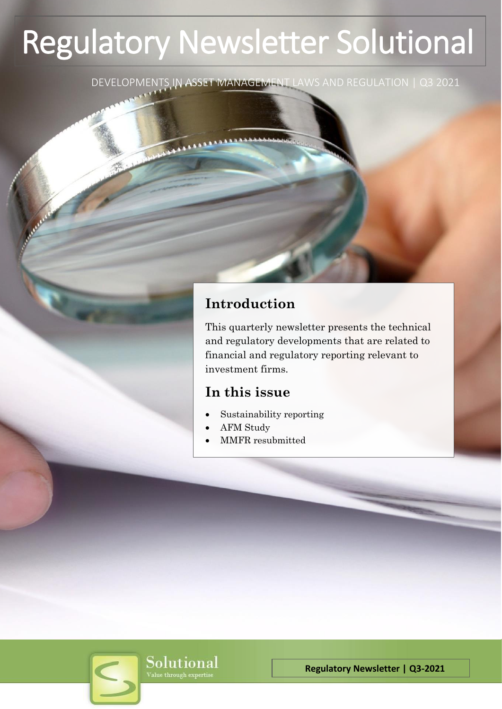# Regulatory Newsletter Solutional

DEVELOPMENTS IN ASSET MANAGEMENT LAWS AND REGULATION | Q3 2021

# **Introduction**

This quarterly newsletter presents the technical and regulatory developments that are related to financial and regulatory reporting relevant to investment firms.

## **In this issue**

- Sustainability reporting
- AFM Study
- MMFR resubmitted



**Regulatory Newsletter | Q3-2021**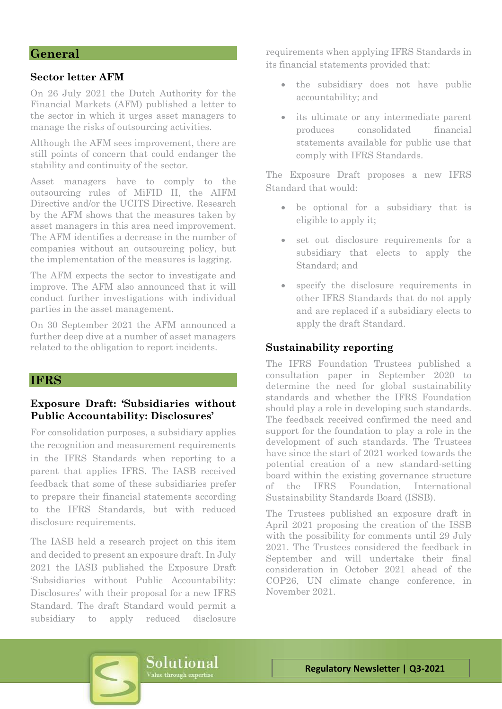## **General**

## **Sector letter AFM**

On 26 July 2021 the Dutch Authority for the Financial Markets (AFM) published a letter to the sector in which it urges asset managers to manage the risks of outsourcing activities.

Although the AFM sees improvement, there are still points of concern that could endanger the stability and continuity of the sector.

Asset managers have to comply to the outsourcing rules of MiFID II, the AIFM Directive and/or the UCITS Directive. Research by the AFM shows that the measures taken by asset managers in this area need improvement. The AFM identifies a decrease in the number of companies without an outsourcing policy, but the implementation of the measures is lagging.

The AFM expects the sector to investigate and improve. The AFM also announced that it will conduct further investigations with individual parties in the asset management.

On 30 September 2021 the AFM announced a further deep dive at a number of asset managers related to the obligation to report incidents.

## **IFRS**

## **Exposure Draft: 'Subsidiaries without Public Accountability: Disclosures'**

For consolidation purposes, a subsidiary applies the recognition and measurement requirements in the IFRS Standards when reporting to a parent that applies IFRS. The IASB received feedback that some of these subsidiaries prefer to prepare their financial statements according to the IFRS Standards, but with reduced disclosure requirements.

The IASB held a research project on this item and decided to present an exposure draft. In July 2021 the IASB published the Exposure Draft 'Subsidiaries without Public Accountability: Disclosures' with their proposal for a new IFRS Standard. The draft Standard would permit a subsidiary to apply reduced disclosure

requirements when applying IFRS Standards in its financial statements provided that:

- the subsidiary does not have public accountability; and
- its ultimate or any intermediate parent produces consolidated financial statements available for public use that comply with IFRS Standards.

The Exposure Draft proposes a new IFRS Standard that would:

- be optional for a subsidiary that is eligible to apply it;
- set out disclosure requirements for a subsidiary that elects to apply the Standard; and
- specify the disclosure requirements in other IFRS Standards that do not apply and are replaced if a subsidiary elects to apply the draft Standard.

## **Sustainability reporting**

The IFRS Foundation Trustees published a consultation paper in September 2020 to determine the need for global sustainability standards and whether the IFRS Foundation should play a role in developing such standards. The feedback received confirmed the need and support for the foundation to play a role in the development of such standards. The Trustees have since the start of 2021 worked towards the potential creation of a new standard-setting board within the existing governance structure of the IFRS Foundation, International Sustainability Standards Board (ISSB).

The Trustees published an exposure draft in April 2021 proposing the creation of the ISSB with the possibility for comments until 29 July 2021. The Trustees considered the feedback in September and will undertake their final consideration in October 2021 ahead of the COP26, UN climate change conference, in November 2021.

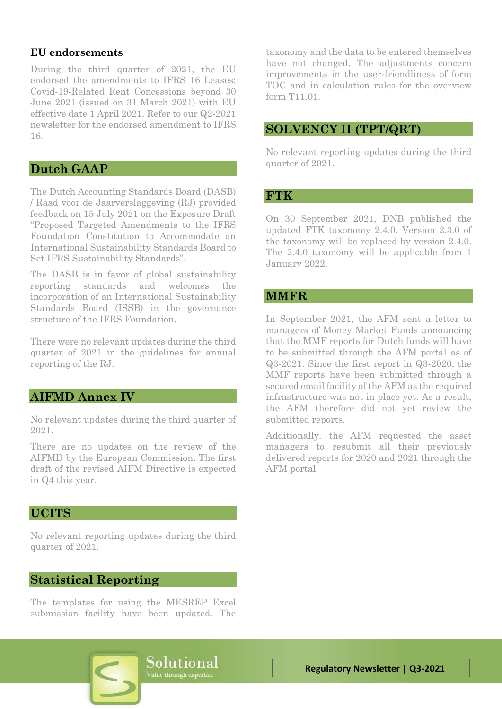## **EU endorsements**

During the third quarter of 2021, the EU endorsed the amendments to IFRS 16 Leases: Covid-19-Related Rent Concessions beyond 30 June 2021 (issued on 31 March 2021) with EU effective date 1 April 2021. Refer to our Q2-2021 newsletter for the endorsed amendment to IFRS 16.

## **Dutch GAAP**

The Dutch Accounting Standards Board (DASB) / Raad voor de Jaarverslaggeving (RJ) provided feedback on 15 July 2021 on the Exposure Draft "Proposed Targeted Amendments to the IFRS Foundation Constitution to Accommodate an International Sustainability Standards Board to Set IFRS Sustainability Standards".

The DASB is in favor of global sustainability reporting standards and welcomes the incorporation of an International Sustainability Standards Board (ISSB) in the governance structure of the IFRS Foundation.

There were no relevant updates during the third quarter of 2021 in the guidelines for annual reporting of the RJ.

## **AIFMD Annex IV**

No relevant updates during the third quarter of 2021.

There are no updates on the review of the AIFMD by the European Commission. The first draft of the revised AIFM Directive is expected in Q4 this year.

## **UCITS**

No relevant reporting updates during the third quarter of 2021.

## **Statistical Reporting**

The templates for using the MESREP Excel submission facility have been updated. The taxonomy and the data to be entered themselves have not changed. The adjustments concern improvements in the user-friendliness of form TOC and in calculation rules for the overview form T11.01.

## **SOLVENCY II (TPT/QRT)**

No relevant reporting updates during the third quarter of 2021.

## **FTK**

On 30 September 2021, DNB published the updated FTK taxonomy 2.4.0. Version 2.3.0 of the taxonomy will be replaced by version 2.4.0. The 2.4.0 taxonomy will be applicable from 1 January 2022.

## **MMFR**

In September 2021, the AFM sent a letter to managers of Money Market Funds announcing that the MMF reports for Dutch funds will have to be submitted through the AFM portal as of Q3-2021. Since the first report in Q3-2020, the MMF reports have been submitted through a secured email facility of the AFM as the required infrastructure was not in place yet. As a result, the AFM therefore did not yet review the submitted reports.

Additionally. the AFM requested the asset managers to resubmit all their previously delivered reports for 2020 and 2021 through the AFM portal

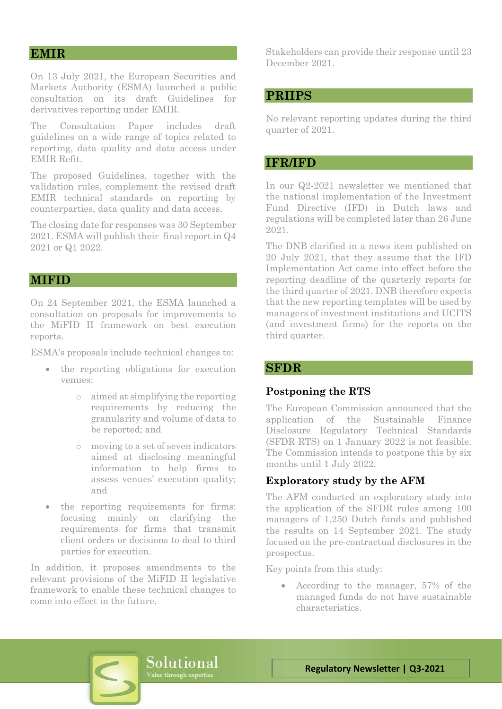## **EMIR**

On 13 July 2021, the European Securities and Markets Authority (ESMA) launched a public consultation on its draft Guidelines for derivatives reporting under EMIR.

The Consultation Paper includes draft guidelines on a wide range of topics related to reporting, data quality and data access under EMIR Refit.

The proposed Guidelines, together with the validation rules, complement the revised draft EMIR technical standards on reporting by counterparties, data quality and data access.

The closing date for responses was 30 September 2021. ESMA will publish their final report in Q4 2021 or Q1 2022.

## **MIFID**

On 24 September 2021, the ESMA launched a consultation on proposals for improvements to the MiFID II framework on best execution reports.

ESMA's proposals include technical changes to:

- the reporting obligations for execution venues:
	- o aimed at simplifying the reporting requirements by reducing the granularity and volume of data to be reported; and
	- o moving to a set of seven indicators aimed at disclosing meaningful information to help firms to assess venues' execution quality; and
- the reporting requirements for firms: focusing mainly on clarifying the requirements for firms that transmit client orders or decisions to deal to third parties for execution.

In addition, it proposes amendments to the relevant provisions of the MiFID II legislative framework to enable these technical changes to come into effect in the future.

Stakeholders can provide their response until 23 December 2021.

## **PRIIPS**

No relevant reporting updates during the third quarter of 2021.

## **IFR/IFD**

In our Q2-2021 newsletter we mentioned that the national implementation of the Investment Fund Directive (IFD) in Dutch laws and regulations will be completed later than 26 June 2021.

The DNB clarified in a news item published on 20 July 2021, that they assume that the IFD Implementation Act came into effect before the reporting deadline of the quarterly reports for the third quarter of 2021. DNB therefore expects that the new reporting templates will be used by managers of investment institutions and UCITS (and investment firms) for the reports on the third quarter.

## **SFDR**

#### **Postponing the RTS**

The European Commission announced that the application of the Sustainable Finance Disclosure Regulatory Technical Standards (SFDR RTS) on 1 January 2022 is not feasible. The Commission intends to postpone this by six months until 1 July 2022.

## **Exploratory study by the AFM**

The AFM conducted an exploratory study into the application of the SFDR rules among 100 managers of 1,250 Dutch funds and published the results on 14 September 2021. The study focused on the pre-contractual disclosures in the prospectus.

Key points from this study:

• According to the manager, 57% of the managed funds do not have sustainable characteristics.

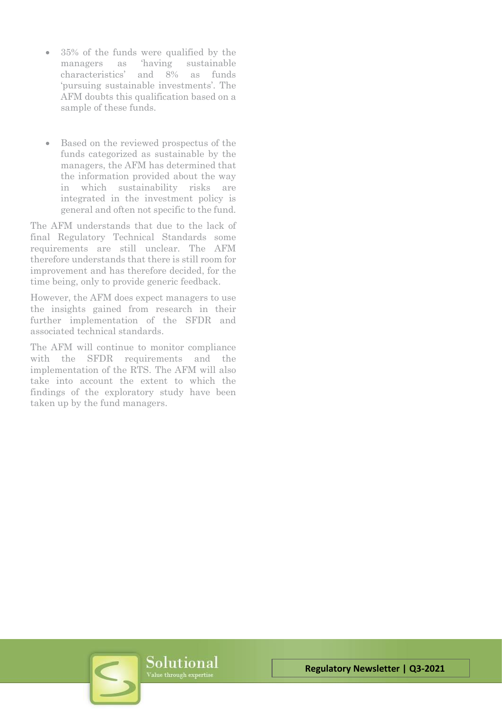- 35% of the funds were qualified by the managers as 'having sustainable characteristics' and 8% as funds 'pursuing sustainable investments'. The AFM doubts this qualification based on a sample of these funds.
- Based on the reviewed prospectus of the funds categorized as sustainable by the managers, the AFM has determined that the information provided about the way in which sustainability risks are integrated in the investment policy is general and often not specific to the fund.

The AFM understands that due to the lack of final Regulatory Technical Standards some requirements are still unclear. The AFM therefore understands that there is still room for improvement and has therefore decided, for the time being, only to provide generic feedback.

However, the AFM does expect managers to use the insights gained from research in their further implementation of the SFDR and associated technical standards.

The AFM will continue to monitor compliance with the SFDR requirements and the implementation of the RTS. The AFM will also take into account the extent to which the findings of the exploratory study have been taken up by the fund managers.

Solutional

**Regulatory Newsletter | Q3-2021**